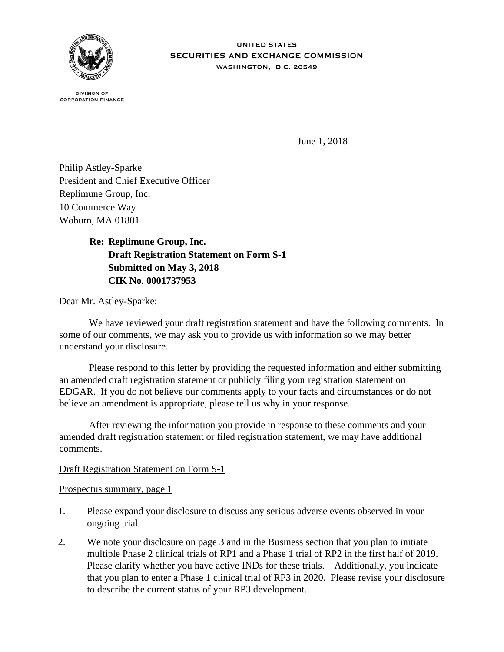

**UNITED STATES** SECURITIES AND EXCHANGE COMMISSION WASHINGTON, D.C. 20549

**DIVISION OF CORPORATION FINANCE** 

June 1, 2018

Philip Astley-Sparke President and Chief Executive Officer Replimune Group, Inc. 10 Commerce Way Woburn, MA 01801

> **Re: Replimune Group, Inc. Draft Registration Statement on Form S-1 Submitted on May 3, 2018 CIK No. 0001737953**

Dear Mr. Astley-Sparke:

We have reviewed your draft registration statement and have the following comments. In some of our comments, we may ask you to provide us with information so we may better understand your disclosure.

 Please respond to this letter by providing the requested information and either submitting an amended draft registration statement or publicly filing your registration statement on EDGAR. If you do not believe our comments apply to your facts and circumstances or do not believe an amendment is appropriate, please tell us why in your response.

 After reviewing the information you provide in response to these comments and your amended draft registration statement or filed registration statement, we may have additional comments.

### Draft Registration Statement on Form S-1

Prospectus summary, page 1

- 1. Please expand your disclosure to discuss any serious adverse events observed in your ongoing trial.
- 2. We note your disclosure on page 3 and in the Business section that you plan to initiate multiple Phase 2 clinical trials of RP1 and a Phase 1 trial of RP2 in the first half of 2019. Please clarify whether you have active INDs for these trials. Additionally, you indicate that you plan to enter a Phase 1 clinical trial of RP3 in 2020. Please revise your disclosure to describe the current status of your RP3 development.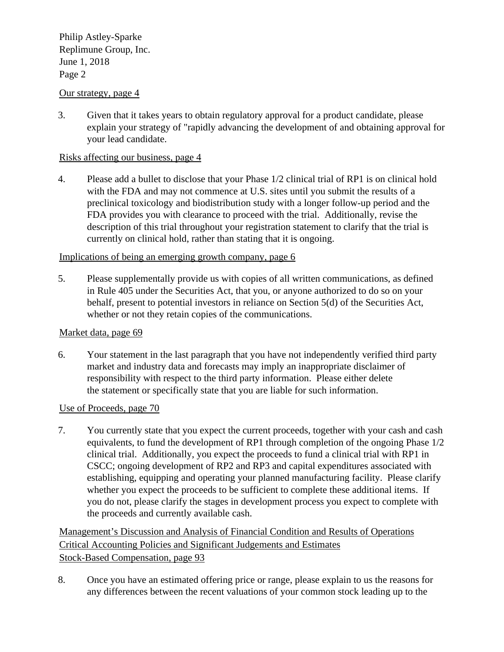FirstName LastNamePhilip Astley-Sparke Replimune Group, Inc. June 1, 2018 Page 2 Philip Astley-Sparke

## Our strategy, page 4

3. Given that it takes years to obtain regulatory approval for a product candidate, please explain your strategy of "rapidly advancing the development of and obtaining approval for your lead candidate.

## Risks affecting our business, page 4

4. Please add a bullet to disclose that your Phase 1/2 clinical trial of RP1 is on clinical hold with the FDA and may not commence at U.S. sites until you submit the results of a preclinical toxicology and biodistribution study with a longer follow-up period and the FDA provides you with clearance to proceed with the trial. Additionally, revise the description of this trial throughout your registration statement to clarify that the trial is currently on clinical hold, rather than stating that it is ongoing.

## Implications of being an emerging growth company, page 6

5. Please supplementally provide us with copies of all written communications, as defined in Rule 405 under the Securities Act, that you, or anyone authorized to do so on your behalf, present to potential investors in reliance on Section 5(d) of the Securities Act, whether or not they retain copies of the communications.

### Market data, page 69

6. Your statement in the last paragraph that you have not independently verified third party market and industry data and forecasts may imply an inappropriate disclaimer of responsibility with respect to the third party information. Please either delete the statement or specifically state that you are liable for such information.

### Use of Proceeds, page 70

7. You currently state that you expect the current proceeds, together with your cash and cash equivalents, to fund the development of RP1 through completion of the ongoing Phase 1/2 clinical trial. Additionally, you expect the proceeds to fund a clinical trial with RP1 in CSCC; ongoing development of RP2 and RP3 and capital expenditures associated with establishing, equipping and operating your planned manufacturing facility. Please clarify whether you expect the proceeds to be sufficient to complete these additional items. If you do not, please clarify the stages in development process you expect to complete with the proceeds and currently available cash.

Management's Discussion and Analysis of Financial Condition and Results of Operations Critical Accounting Policies and Significant Judgements and Estimates Stock-Based Compensation, page 93

8. Once you have an estimated offering price or range, please explain to us the reasons for any differences between the recent valuations of your common stock leading up to the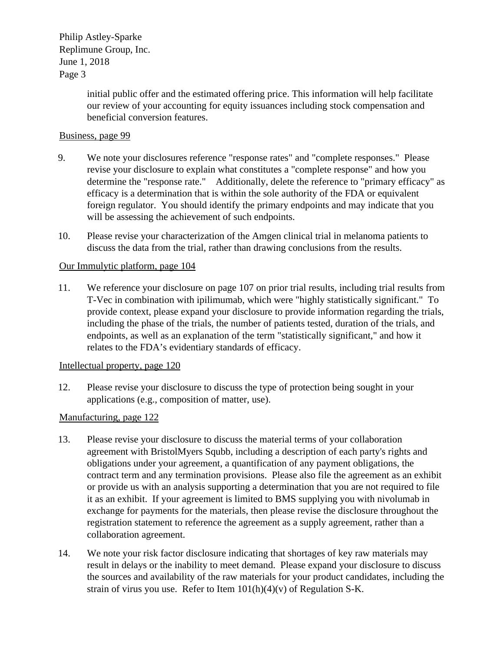# FirstName LastNamePhilip Astley-Sparke Replimune Group, Inc. June 1, 2018 Page 3 Philip Astley-Sparke

initial public offer and the estimated offering price. This information will help facilitate our review of your accounting for equity issuances including stock compensation and beneficial conversion features.

## Business, page 99

- 9. We note your disclosures reference "response rates" and "complete responses." Please revise your disclosure to explain what constitutes a "complete response" and how you determine the "response rate." Additionally, delete the reference to "primary efficacy" as efficacy is a determination that is within the sole authority of the FDA or equivalent foreign regulator. You should identify the primary endpoints and may indicate that you will be assessing the achievement of such endpoints.
- 10. Please revise your characterization of the Amgen clinical trial in melanoma patients to discuss the data from the trial, rather than drawing conclusions from the results.

## Our Immulytic platform, page 104

11. We reference your disclosure on page 107 on prior trial results, including trial results from T-Vec in combination with ipilimumab, which were "highly statistically significant." To provide context, please expand your disclosure to provide information regarding the trials, including the phase of the trials, the number of patients tested, duration of the trials, and endpoints, as well as an explanation of the term "statistically significant," and how it relates to the FDA's evidentiary standards of efficacy.

# Intellectual property, page 120

12. Please revise your disclosure to discuss the type of protection being sought in your applications (e.g., composition of matter, use).

### Manufacturing, page 122

- 13. Please revise your disclosure to discuss the material terms of your collaboration agreement with BristolMyers Squbb, including a description of each party's rights and obligations under your agreement, a quantification of any payment obligations, the contract term and any termination provisions. Please also file the agreement as an exhibit or provide us with an analysis supporting a determination that you are not required to file it as an exhibit. If your agreement is limited to BMS supplying you with nivolumab in exchange for payments for the materials, then please revise the disclosure throughout the registration statement to reference the agreement as a supply agreement, rather than a collaboration agreement.
- 14. We note your risk factor disclosure indicating that shortages of key raw materials may result in delays or the inability to meet demand. Please expand your disclosure to discuss the sources and availability of the raw materials for your product candidates, including the strain of virus you use. Refer to Item  $101(h)(4)(v)$  of Regulation S-K.